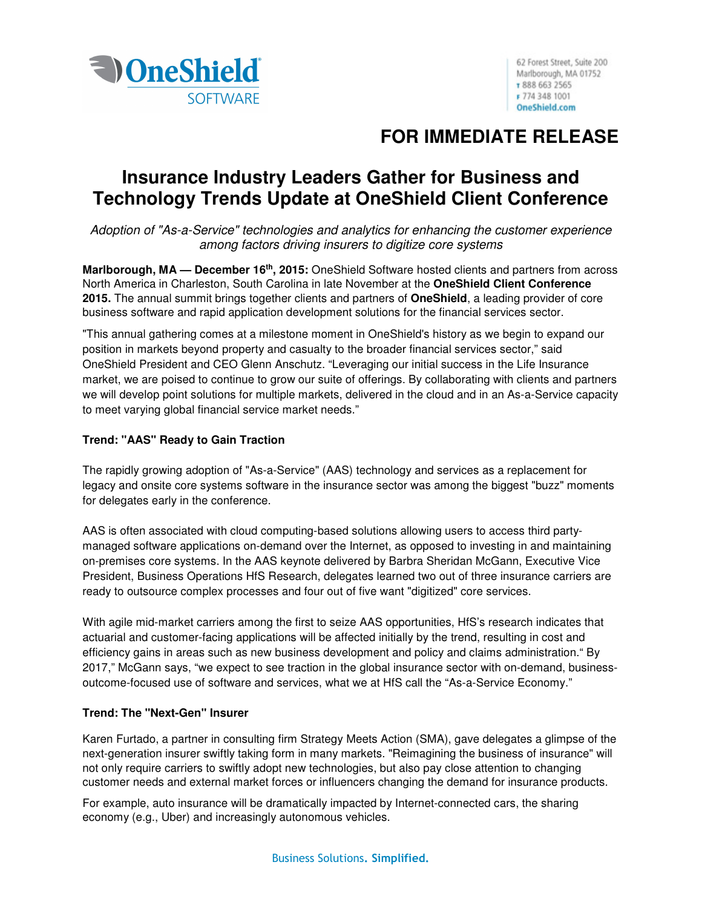

# **FOR IMMEDIATE RELEASE**

## **Insurance Industry Leaders Gather for Business and Technology Trends Update at OneShield Client Conference**

Adoption of "As-a-Service" technologies and analytics for enhancing the customer experience among factors driving insurers to digitize core systems

**Marlborough, MA — December 16th, 2015:** OneShield Software hosted clients and partners from across North America in Charleston, South Carolina in late November at the **OneShield Client Conference 2015.** The annual summit brings together clients and partners of **OneShield**, a leading provider of core business software and rapid application development solutions for the financial services sector.

"This annual gathering comes at a milestone moment in OneShield's history as we begin to expand our position in markets beyond property and casualty to the broader financial services sector," said OneShield President and CEO Glenn Anschutz. "Leveraging our initial success in the Life Insurance market, we are poised to continue to grow our suite of offerings. By collaborating with clients and partners we will develop point solutions for multiple markets, delivered in the cloud and in an As-a-Service capacity to meet varying global financial service market needs."

### **Trend: "AAS" Ready to Gain Traction**

The rapidly growing adoption of "As-a-Service" (AAS) technology and services as a replacement for legacy and onsite core systems software in the insurance sector was among the biggest "buzz" moments for delegates early in the conference.

AAS is often associated with cloud computing-based solutions allowing users to access third partymanaged software applications on-demand over the Internet, as opposed to investing in and maintaining on-premises core systems. In the AAS keynote delivered by Barbra Sheridan McGann, Executive Vice President, Business Operations HfS Research, delegates learned two out of three insurance carriers are ready to outsource complex processes and four out of five want "digitized" core services.

With agile mid-market carriers among the first to seize AAS opportunities, HfS's research indicates that actuarial and customer-facing applications will be affected initially by the trend, resulting in cost and efficiency gains in areas such as new business development and policy and claims administration." By 2017," McGann says, "we expect to see traction in the global insurance sector with on-demand, businessoutcome-focused use of software and services, what we at HfS call the "As-a-Service Economy."

## **Trend: The "Next-Gen" Insurer**

Karen Furtado, a partner in consulting firm Strategy Meets Action (SMA), gave delegates a glimpse of the next-generation insurer swiftly taking form in many markets. "Reimagining the business of insurance" will not only require carriers to swiftly adopt new technologies, but also pay close attention to changing customer needs and external market forces or influencers changing the demand for insurance products.

For example, auto insurance will be dramatically impacted by Internet-connected cars, the sharing economy (e.g., Uber) and increasingly autonomous vehicles.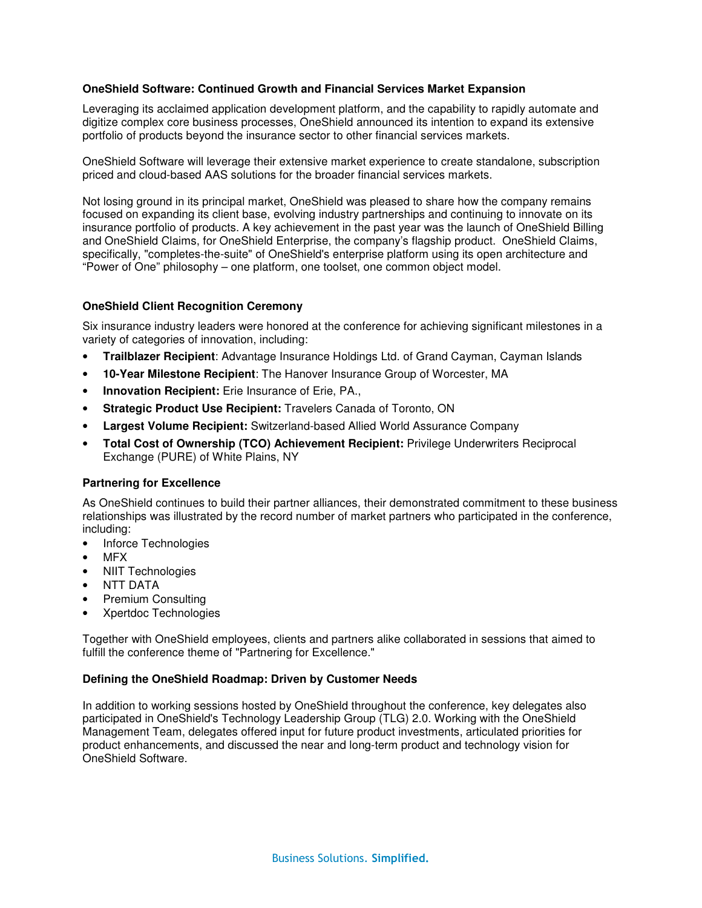#### **OneShield Software: Continued Growth and Financial Services Market Expansion**

Leveraging its acclaimed application development platform, and the capability to rapidly automate and digitize complex core business processes, OneShield announced its intention to expand its extensive portfolio of products beyond the insurance sector to other financial services markets.

OneShield Software will leverage their extensive market experience to create standalone, subscription priced and cloud-based AAS solutions for the broader financial services markets.

Not losing ground in its principal market, OneShield was pleased to share how the company remains focused on expanding its client base, evolving industry partnerships and continuing to innovate on its insurance portfolio of products. A key achievement in the past year was the launch of OneShield Billing and OneShield Claims, for OneShield Enterprise, the company's flagship product. OneShield Claims, specifically, "completes-the-suite" of OneShield's enterprise platform using its open architecture and "Power of One" philosophy – one platform, one toolset, one common object model.

#### **OneShield Client Recognition Ceremony**

Six insurance industry leaders were honored at the conference for achieving significant milestones in a variety of categories of innovation, including:

- **Trailblazer Recipient**: Advantage Insurance Holdings Ltd. of Grand Cayman, Cayman Islands
- **10-Year Milestone Recipient**: The Hanover Insurance Group of Worcester, MA
- **Innovation Recipient:** Erie Insurance of Erie, PA.,
- **Strategic Product Use Recipient:** Travelers Canada of Toronto, ON
- **Largest Volume Recipient:** Switzerland-based Allied World Assurance Company
- **Total Cost of Ownership (TCO) Achievement Recipient:** Privilege Underwriters Reciprocal Exchange (PURE) of White Plains, NY

#### **Partnering for Excellence**

As OneShield continues to build their partner alliances, their demonstrated commitment to these business relationships was illustrated by the record number of market partners who participated in the conference, including:

- Inforce Technologies
- MFX
- NIIT Technologies
- NTT DATA
- Premium Consulting
- Xpertdoc Technologies

Together with OneShield employees, clients and partners alike collaborated in sessions that aimed to fulfill the conference theme of "Partnering for Excellence."

#### **Defining the OneShield Roadmap: Driven by Customer Needs**

In addition to working sessions hosted by OneShield throughout the conference, key delegates also participated in OneShield's Technology Leadership Group (TLG) 2.0. Working with the OneShield Management Team, delegates offered input for future product investments, articulated priorities for product enhancements, and discussed the near and long-term product and technology vision for OneShield Software.